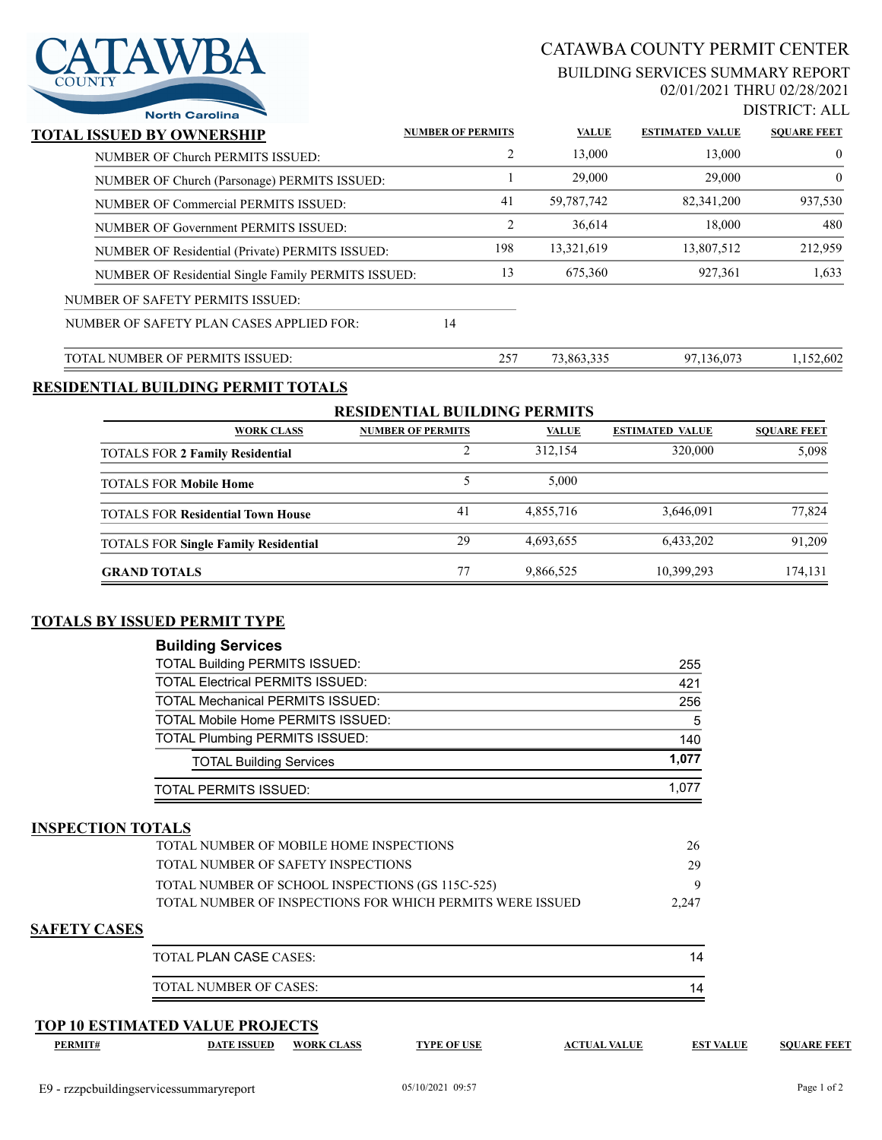## CATAWBA COUNTY PERMIT CENTER

#### BUILDING SERVICES SUMMARY REPORT 02/01/2021 THRU 02/28/2021



| v.            | <b>TAWI</b><br>WBA    |
|---------------|-----------------------|
| <b>COUNTY</b> |                       |
|               | <b>North Carolina</b> |

| <b>North Carolina</b>                               |                          |              |                        | DISTING LALI       |
|-----------------------------------------------------|--------------------------|--------------|------------------------|--------------------|
| TOTAL ISSUED BY OWNERSHIP                           | <b>NUMBER OF PERMITS</b> | <b>VALUE</b> | <b>ESTIMATED VALUE</b> | <b>SOUARE FEET</b> |
| NUMBER OF Church PERMITS ISSUED:                    | 2                        | 13,000       | 13,000                 | $\overline{0}$     |
| NUMBER OF Church (Parsonage) PERMITS ISSUED:        |                          | 29,000       | 29,000                 | $\overline{0}$     |
| NUMBER OF Commercial PERMITS ISSUED:                | 41                       | 59,787,742   | 82,341,200             | 937,530            |
| NUMBER OF Government PERMITS ISSUED:                | 2                        | 36,614       | 18,000                 | 480                |
| NUMBER OF Residential (Private) PERMITS ISSUED:     | 198                      | 13,321,619   | 13,807,512             | 212,959            |
| NUMBER OF Residential Single Family PERMITS ISSUED: | 13                       | 675,360      | 927,361                | 1,633              |
| NUMBER OF SAFETY PERMITS ISSUED:                    |                          |              |                        |                    |
| NUMBER OF SAFETY PLAN CASES APPLIED FOR:            | 14                       |              |                        |                    |
| TOTAL NUMBER OF PERMITS ISSUED:                     | 257                      | 73.863.335   | 97,136,073             | 1.152.602          |

### **RESIDENTIAL BUILDING PERMIT TOTALS**

| <b>RESIDENTIAL BUILDING PERMITS</b>         |                          |              |                        |                    |  |  |  |
|---------------------------------------------|--------------------------|--------------|------------------------|--------------------|--|--|--|
| <b>WORK CLASS</b>                           | <b>NUMBER OF PERMITS</b> | <b>VALUE</b> | <b>ESTIMATED VALUE</b> | <b>SOUARE FEET</b> |  |  |  |
| <b>TOTALS FOR 2 Family Residential</b>      |                          | 312,154      | 320,000                | 5,098              |  |  |  |
| <b>TOTALS FOR Mobile Home</b>               |                          | 5.000        |                        |                    |  |  |  |
| <b>TOTALS FOR Residential Town House</b>    | 41                       | 4,855,716    | 3,646,091              | 77,824             |  |  |  |
| <b>TOTALS FOR Single Family Residential</b> | 29                       | 4,693,655    | 6,433,202              | 91.209             |  |  |  |
| <b>GRAND TOTALS</b>                         |                          | 9,866,525    | 10,399,293             | 174,131            |  |  |  |

## **TOTALS BY ISSUED PERMIT TYPE**

| <b>Building Services</b>                |       |
|-----------------------------------------|-------|
| <b>TOTAL Building PERMITS ISSUED:</b>   | 255   |
| <b>TOTAL Electrical PERMITS ISSUED:</b> | 421   |
| <b>TOTAL Mechanical PERMITS ISSUED:</b> | 256   |
| TOTAL Mobile Home PERMITS ISSUED:       | 5     |
| <b>TOTAL Plumbing PERMITS ISSUED:</b>   | 140   |
| <b>TOTAL Building Services</b>          | 1.077 |
| <b>TOTAL PERMITS ISSUED:</b>            | 1.077 |

### **INSPECTION TOTALS**

|                     | TOTAL NUMBER OF MOBILE HOME INSPECTIONS                   | 26    |
|---------------------|-----------------------------------------------------------|-------|
|                     | TOTAL NUMBER OF SAFETY INSPECTIONS                        | 29    |
|                     | TOTAL NUMBER OF SCHOOL INSPECTIONS (GS 115C-525)          |       |
|                     | TOTAL NUMBER OF INSPECTIONS FOR WHICH PERMITS WERE ISSUED | 2.247 |
| <b>SAFETY CASES</b> |                                                           |       |
|                     | <b>TOTAL PLAN CASE CASES:</b>                             | 14    |

| $IMABER$ $IME$<br>NI<br>$\Lambda$ i |  |
|-------------------------------------|--|

#### **TOP 10 ESTIMATED VALUE PROJECTS**

|  | /I I | L |
|--|------|---|
|  |      |   |

**PERMIT# DATE ISSUED WORK CLASS TYPE OF USE ACTUAL VALUE EST VALUE SQUARE FEET**